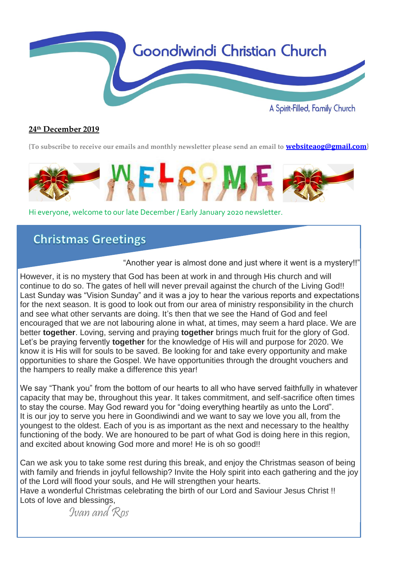

## **24 th December 2019**

**{To subscribe to receive our emails and monthly newsletter please send an email to [websiteaog@gmail.com](mailto:websiteaog@gmail.com)}**



Hi everyone, welcome to our late December / Early January 2020 newsletter.

# **Christmas Greetings**

"Another year is almost done and just where it went is a mystery!!"

However, it is no mystery that God has been at work in and through His church and will continue to do so. The gates of hell will never prevail against the church of the Living God!! Last Sunday was "Vision Sunday" and it was a joy to hear the various reports and expectations for the next season. It is good to look out from our area of ministry responsibility in the church and see what other servants are doing. It's then that we see the Hand of God and feel encouraged that we are not labouring alone in what, at times, may seem a hard place. We are better **together**. Loving, serving and praying **together** brings much fruit for the glory of God. Let's be praying fervently **together** for the knowledge of His will and purpose for 2020. We know it is His will for souls to be saved. Be looking for and take every opportunity and make opportunities to share the Gospel. We have opportunities through the drought vouchers and the hampers to really make a difference this year!

We say "Thank you" from the bottom of our hearts to all who have served faithfully in whatever capacity that may be, throughout this year. It takes commitment, and self-sacrifice often times to stay the course. May God reward you for "doing everything heartily as unto the Lord". It is our joy to serve you here in Goondiwindi and we want to say we love you all, from the youngest to the oldest. Each of you is as important as the next and necessary to the healthy functioning of the body. We are honoured to be part of what God is doing here in this region, and excited about knowing God more and more! He is oh so good!!

Can we ask you to take some rest during this break, and enjoy the Christmas season of being with family and friends in joyful fellowship? Invite the Holy spirit into each gathering and the joy of the Lord will flood your souls, and He will strengthen your hearts.

Have a wonderful Christmas celebrating the birth of our Lord and Saviour Jesus Christ !! Lots of love and blessings,

Ivan and Ros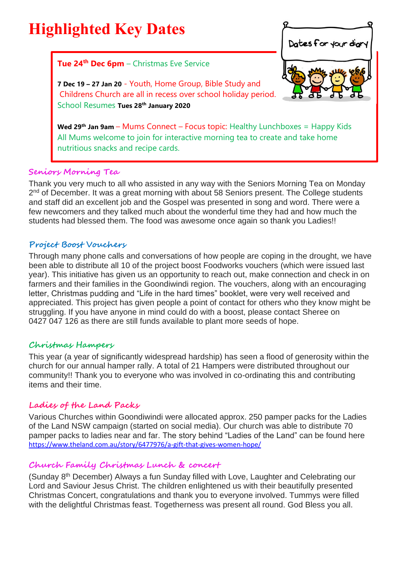

#### **Seniors Morning Tea**

nutritious snacks and recipe cards.

Thank you very much to all who assisted in any way with the Seniors Morning Tea on Monday 2<sup>nd</sup> of December. It was a great morning with about 58 Seniors present. The College students and staff did an excellent job and the Gospel was presented in song and word. There were a few newcomers and they talked much about the wonderful time they had and how much the students had blessed them. The food was awesome once again so thank you Ladies!!

#### **Project Boost Vouchers**

Through many phone calls and conversations of how people are coping in the drought, we have been able to distribute all 10 of the project boost Foodworks vouchers (which were issued last year). This initiative has given us an opportunity to reach out, make connection and check in on farmers and their families in the Goondiwindi region. The vouchers, along with an encouraging letter, Christmas pudding and "Life in the hard times" booklet, were very well received and appreciated. This project has given people a point of contact for others who they know might be struggling. If you have anyone in mind could do with a boost, please contact Sheree on 0427 047 126 as there are still funds available to plant more seeds of hope.

#### **Christmas Hampers**

This year (a year of significantly widespread hardship) has seen a flood of generosity within the church for our annual hamper rally. A total of 21 Hampers were distributed throughout our community!! Thank you to everyone who was involved in co-ordinating this and contributing items and their time.

# **Ladies of the Land Packs**

Various Churches within Goondiwindi were allocated approx. 250 pamper packs for the Ladies of the Land NSW campaign (started on social media). Our church was able to distribute 70 pamper packs to ladies near and far. The story behind "Ladies of the Land" can be found here <https://www.theland.com.au/story/6477976/a-gift-that-gives-women-hope/>

# **Church Family Christmas Lunch & concert**

(Sunday 8th December) Always a fun Sunday filled with Love, Laughter and Celebrating our Lord and Saviour Jesus Christ. The children enlightened us with their beautifully presented Christmas Concert, congratulations and thank you to everyone involved. Tummys were filled with the delightful Christmas feast. Togetherness was present all round. God Bless you all.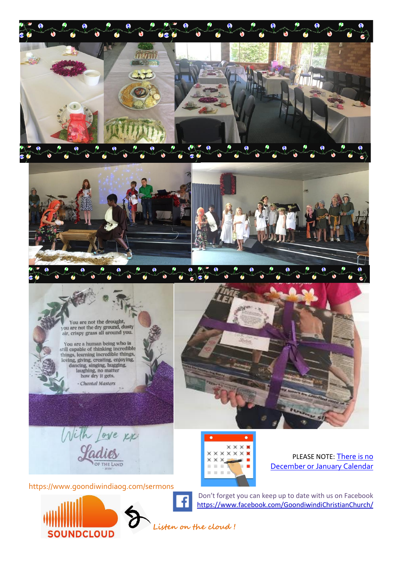





You are a human being who is<br>still capable of thinking incredible<br>things, learning incredible things,<br>loving, giving, creating, enjoying,<br>dancing, singing, hugging,<br>laughing, no matter<br>how drott gate. how dry it gets. - Chantal Masters





https://www.goondiwindiaog.com/sermons



XX  $\times\times\times\times\times$  $\times$ **XXX** ili.  $\pm$  $\sim$ 

PLEASE NOTE: [There](https://docs.wixstatic.com/ugd/1e01d8_13b839dea92e48a0802f19aa8ff3af97.pdf) is no December or January Calendar

Don't forget you can keep up to date with us on Facebook <https://www.facebook.com/GoondiwindiChristianChurch/>

 **Listen on the cloud !**

3